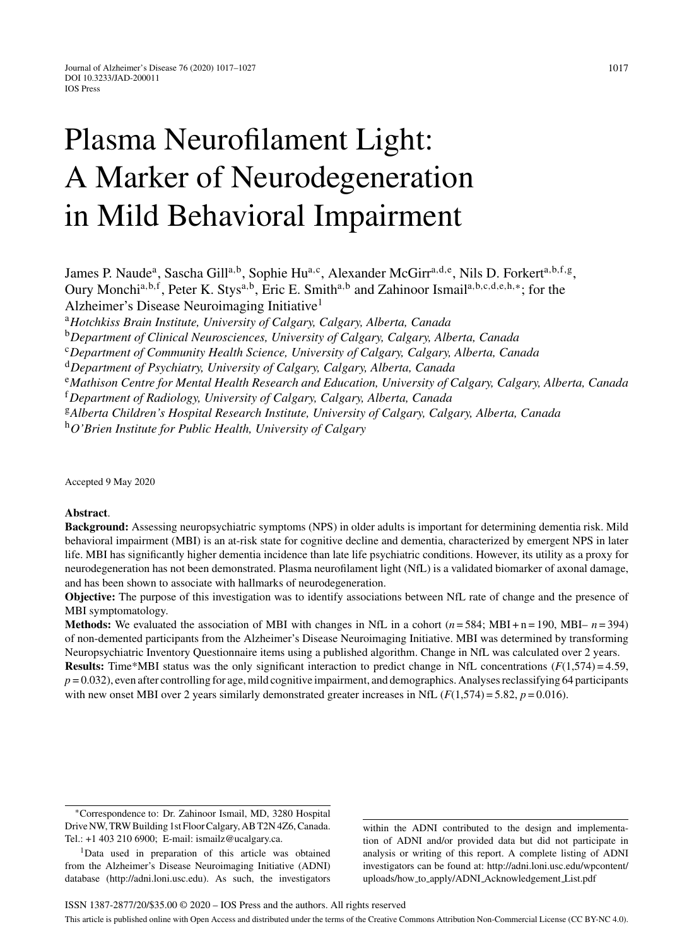# Plasma Neurofilament Light: A Marker of Neurodegeneration in Mild Behavioral Impairment

James P. Naude<sup>a</sup>, Sascha Gill<sup>a,b</sup>, Sophie Hu<sup>a,c</sup>, Alexander McGirr<sup>a,d,e</sup>, Nils D. Forkert<sup>a,b,f,g</sup>, Oury Monchi<sup>a,b,f</sup>, Peter K. Stys<sup>a,b</sup>, Eric E. Smith<sup>a,b</sup> and Zahinoor Ismail<sup>a,b,c,d,e,h,∗</sup>; for the Alzheimer's Disease Neuroimaging Initiative1

<sup>a</sup>*Hotchkiss Brain Institute, University of Calgary, Calgary, Alberta, Canada*

<sup>b</sup>*Department of Clinical Neurosciences, University of Calgary, Calgary, Alberta, Canada*

<sup>c</sup>*Department of Community Health Science, University of Calgary, Calgary, Alberta, Canada*

<sup>d</sup>*Department of Psychiatry, University of Calgary, Calgary, Alberta, Canada*

<sup>e</sup>*Mathison Centre for Mental Health Research and Education, University of Calgary, Calgary, Alberta, Canada*

<sup>f</sup>*Department of Radiology, University of Calgary, Calgary, Alberta, Canada*

<sup>g</sup>*Alberta Children's Hospital Research Institute, University of Calgary, Calgary, Alberta, Canada*

<sup>h</sup>*O'Brien Institute for Public Health, University of Calgary*

Accepted 9 May 2020

## **Abstract**.

**Background:** Assessing neuropsychiatric symptoms (NPS) in older adults is important for determining dementia risk. Mild behavioral impairment (MBI) is an at-risk state for cognitive decline and dementia, characterized by emergent NPS in later life. MBI has significantly higher dementia incidence than late life psychiatric conditions. However, its utility as a proxy for neurodegeneration has not been demonstrated. Plasma neurofilament light (NfL) is a validated biomarker of axonal damage, and has been shown to associate with hallmarks of neurodegeneration.

**Objective:** The purpose of this investigation was to identify associations between NfL rate of change and the presence of MBI symptomatology.

**Methods:** We evaluated the association of MBI with changes in NfL in a cohort  $(n = 584; \text{ MBI} + n = 190, \text{ MBI} - n = 394)$ of non-demented participants from the Alzheimer's Disease Neuroimaging Initiative. MBI was determined by transforming Neuropsychiatric Inventory Questionnaire items using a published algorithm. Change in NfL was calculated over 2 years. **Results:** Time\*MBI status was the only significant interaction to predict change in NfL concentrations  $(F(1,574) = 4.59)$ ,  $p = 0.032$ ), even after controlling for age, mild cognitive impairment, and demographics. Analyses reclassifying 64 participants with new onset MBI over 2 years similarly demonstrated greater increases in NfL  $(F(1,574) = 5.82, p = 0.016)$ .

within the ADNI contributed to the design and implementation of ADNI and/or provided data but did not participate in analysis or writing of this report. A complete listing of ADNI investigators can be found at: [http://adni.loni.usc.edu/wpcontent/](http://adni.loni.usc.edu/wpcontent/uploads/how_to_apply/ADNI_Acknowledgement_List.pdf) uploads/how to apply/ADNI Acknowledgement List.pdf

<sup>∗</sup>Correspondence to: Dr. Zahinoor Ismail, MD, 3280 Hospital Drive NW, TRW Building 1st Floor Calgary, AB T2N 4Z6, Canada. Tel.: +1 403 210 6900; E-mail: [ismailz@ucalgary.ca.](mailto:ismailz@ucalgary.ca)

<sup>&</sup>lt;sup>1</sup>Data used in preparation of this article was obtained from the Alzheimer's Disease Neuroimaging Initiative (ADNI) database [\(http://adni.loni.usc.edu](http://adni.loni.usc.edu)). As such, the investigators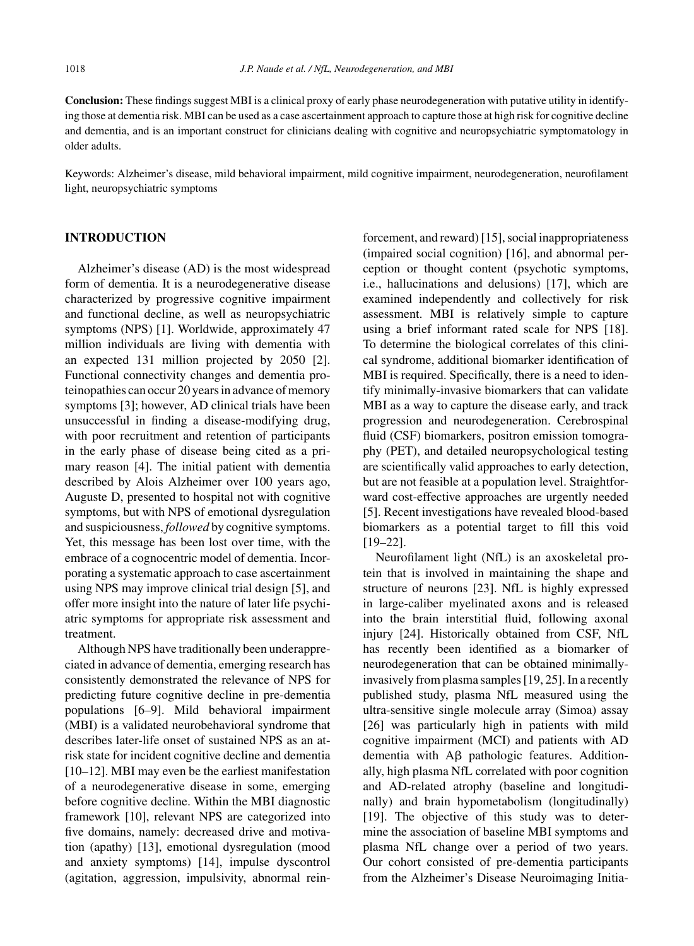**Conclusion:** These findings suggest MBI is a clinical proxy of early phase neurodegeneration with putative utility in identifying those at dementia risk. MBI can be used as a case ascertainment approach to capture those at high risk for cognitive decline and dementia, and is an important construct for clinicians dealing with cognitive and neuropsychiatric symptomatology in older adults.

Keywords: Alzheimer's disease, mild behavioral impairment, mild cognitive impairment, neurodegeneration, neurofilament light, neuropsychiatric symptoms

## **INTRODUCTION**

Alzheimer's disease (AD) is the most widespread form of dementia. It is a neurodegenerative disease characterized by progressive cognitive impairment and functional decline, as well as neuropsychiatric symptoms (NPS) [1]. Worldwide, approximately 47 million individuals are living with dementia with an expected 131 million projected by 2050 [2]. Functional connectivity changes and dementia proteinopathies can occur 20 years in advance of memory symptoms [3]; however, AD clinical trials have been unsuccessful in finding a disease-modifying drug, with poor recruitment and retention of participants in the early phase of disease being cited as a primary reason [4]. The initial patient with dementia described by Alois Alzheimer over 100 years ago, Auguste D, presented to hospital not with cognitive symptoms, but with NPS of emotional dysregulation and suspiciousness, *followed* by cognitive symptoms. Yet, this message has been lost over time, with the embrace of a cognocentric model of dementia. Incorporating a systematic approach to case ascertainment using NPS may improve clinical trial design [5], and offer more insight into the nature of later life psychiatric symptoms for appropriate risk assessment and treatment.

Although NPS have traditionally been underappreciated in advance of dementia, emerging research has consistently demonstrated the relevance of NPS for predicting future cognitive decline in pre-dementia populations [6–9]. Mild behavioral impairment (MBI) is a validated neurobehavioral syndrome that describes later-life onset of sustained NPS as an atrisk state for incident cognitive decline and dementia [10–12]. MBI may even be the earliest manifestation of a neurodegenerative disease in some, emerging before cognitive decline. Within the MBI diagnostic framework [10], relevant NPS are categorized into five domains, namely: decreased drive and motivation (apathy) [13], emotional dysregulation (mood and anxiety symptoms) [14], impulse dyscontrol (agitation, aggression, impulsivity, abnormal reinforcement, and reward) [15], social inappropriateness (impaired social cognition) [16], and abnormal perception or thought content (psychotic symptoms, i.e., hallucinations and delusions) [17], which are examined independently and collectively for risk assessment. MBI is relatively simple to capture using a brief informant rated scale for NPS [18]. To determine the biological correlates of this clinical syndrome, additional biomarker identification of MBI is required. Specifically, there is a need to identify minimally-invasive biomarkers that can validate MBI as a way to capture the disease early, and track progression and neurodegeneration. Cerebrospinal fluid (CSF) biomarkers, positron emission tomography (PET), and detailed neuropsychological testing are scientifically valid approaches to early detection, but are not feasible at a population level. Straightforward cost-effective approaches are urgently needed [5]. Recent investigations have revealed blood-based biomarkers as a potential target to fill this void [19–22].

Neurofilament light (NfL) is an axoskeletal protein that is involved in maintaining the shape and structure of neurons [23]. NfL is highly expressed in large-caliber myelinated axons and is released into the brain interstitial fluid, following axonal injury [24]. Historically obtained from CSF, NfL has recently been identified as a biomarker of neurodegeneration that can be obtained minimallyinvasively from plasma samples [19, 25]. In a recently published study, plasma NfL measured using the ultra-sensitive single molecule array (Simoa) assay [26] was particularly high in patients with mild cognitive impairment (MCI) and patients with AD dementia with  $\text{A}\beta$  pathologic features. Additionally, high plasma NfL correlated with poor cognition and AD-related atrophy (baseline and longitudinally) and brain hypometabolism (longitudinally) [19]. The objective of this study was to determine the association of baseline MBI symptoms and plasma NfL change over a period of two years. Our cohort consisted of pre-dementia participants from the Alzheimer's Disease Neuroimaging Initia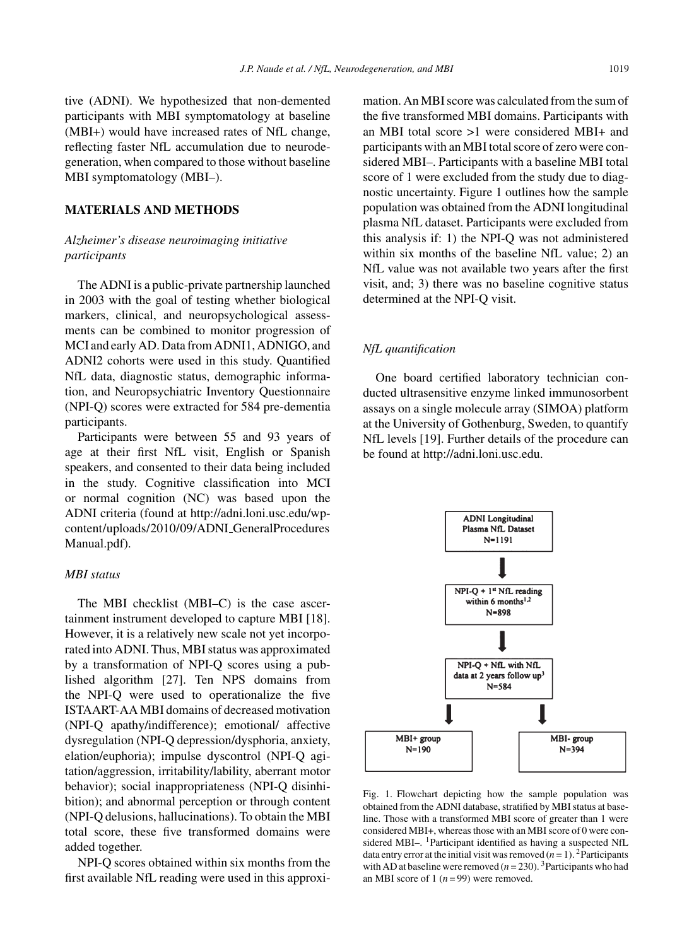tive (ADNI). We hypothesized that non-demented participants with MBI symptomatology at baseline (MBI+) would have increased rates of NfL change, reflecting faster NfL accumulation due to neurodegeneration, when compared to those without baseline MBI symptomatology (MBI–).

## **MATERIALS AND METHODS**

# *Alzheimer's disease neuroimaging initiative participants*

The ADNI is a public-private partnership launched in 2003 with the goal of testing whether biological markers, clinical, and neuropsychological assessments can be combined to monitor progression of MCI and early AD. Data from ADNI1, ADNIGO, and ADNI2 cohorts were used in this study. Quantified NfL data, diagnostic status, demographic information, and Neuropsychiatric Inventory Questionnaire (NPI-Q) scores were extracted for 584 pre-dementia participants.

Participants were between 55 and 93 years of age at their first NfL visit, English or Spanish speakers, and consented to their data being included in the study. Cognitive classification into MCI or normal cognition (NC) was based upon the ADNI criteria (found at [http://adni.loni.usc.edu/wp](http://adni.loni.usc.edu/wp-content/uploads/2010/09/ADNI_GeneralProceduresManual.pdf)content/uploads/2010/09/ADNI GeneralProcedures Manual.pdf).

## *MBI status*

The MBI checklist (MBI–C) is the case ascertainment instrument developed to capture MBI [18]. However, it is a relatively new scale not yet incorporated into ADNI. Thus, MBI status was approximated by a transformation of NPI-Q scores using a published algorithm [27]. Ten NPS domains from the NPI-Q were used to operationalize the five ISTAART-AA MBI domains of decreased motivation (NPI-Q apathy/indifference); emotional/ affective dysregulation (NPI-Q depression/dysphoria, anxiety, elation/euphoria); impulse dyscontrol (NPI-Q agitation/aggression, irritability/lability, aberrant motor behavior); social inappropriateness (NPI-Q disinhibition); and abnormal perception or through content (NPI-Q delusions, hallucinations). To obtain the MBI total score, these five transformed domains were added together.

NPI-Q scores obtained within six months from the first available NfL reading were used in this approximation. An MBI score was calculated from the sum of the five transformed MBI domains. Participants with an MBI total score >1 were considered MBI+ and participants with an MBI total score of zero were considered MBI–. Participants with a baseline MBI total score of 1 were excluded from the study due to diagnostic uncertainty. Figure 1 outlines how the sample population was obtained from the ADNI longitudinal plasma NfL dataset. Participants were excluded from this analysis if: 1) the NPI-Q was not administered within six months of the baseline NfL value; 2) an NfL value was not available two years after the first visit, and; 3) there was no baseline cognitive status determined at the NPI-Q visit.

## *NfL quantification*

One board certified laboratory technician conducted ultrasensitive enzyme linked immunosorbent assays on a single molecule array (SIMOA) platform at the University of Gothenburg, Sweden, to quantify NfL levels [19]. Further details of the procedure can be found at [http://adni.loni.usc.edu.](http://adni.loni.usc.edu)



Fig. 1. Flowchart depicting how the sample population was obtained from the ADNI database, stratified by MBI status at baseline. Those with a transformed MBI score of greater than 1 were considered MBI+, whereas those with an MBI score of 0 were considered MBI-. <sup>1</sup>Participant identified as having a suspected NfL data entry error at the initial visit was removed  $(n = 1)$ . <sup>2</sup>Participants with AD at baseline were removed  $(n=230)$ . <sup>3</sup>Participants who had an MBI score of 1  $(n=99)$  were removed.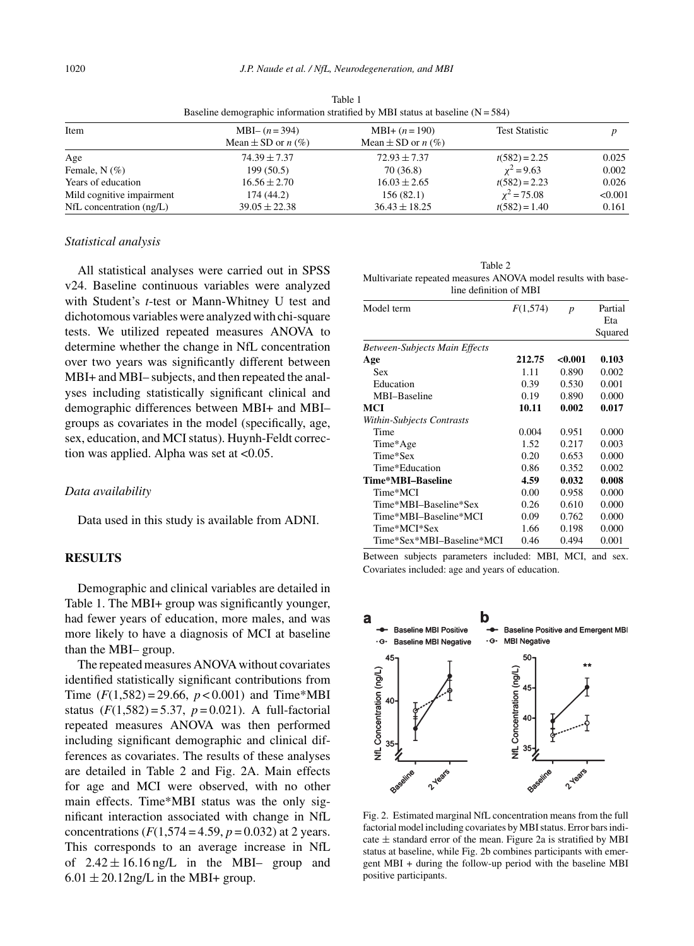| Item                         | $MBI-(n=394)$                 | $MBI+(n=190)$                 | <b>Test Statistic</b> |         |  |
|------------------------------|-------------------------------|-------------------------------|-----------------------|---------|--|
|                              | Mean $\pm$ SD or <i>n</i> (%) | Mean $\pm$ SD or <i>n</i> (%) |                       |         |  |
| Age                          | $74.39 \pm 7.37$              | $72.93 \pm 7.37$              | $t(582) = 2.25$       | 0.025   |  |
| Female, $N(\%)$              | 199(50.5)                     | 70 (36.8)                     | $x^2 = 9.63$          | 0.002   |  |
| Years of education           | $16.56 \pm 2.70$              | $16.03 \pm 2.65$              | $t(582) = 2.23$       | 0.026   |  |
| Mild cognitive impairment    | 174 (44.2)                    | 156(82.1)                     | $x^2 = 75.08$         | < 0.001 |  |
| $NfL$ concentration $(ng/L)$ | $39.05 \pm 22.38$             | $36.43 \pm 18.25$             | $t(582) = 1.40$       | 0.161   |  |

Table 1 Baseline demographic information stratified by MBI status at baseline  $(N = 584)$ 

## *Statistical analysis*

All statistical analyses were carried out in SPSS v24. Baseline continuous variables were analyzed with Student's *t*-test or Mann-Whitney U test and dichotomous variables were analyzed with chi-square tests. We utilized repeated measures ANOVA to determine whether the change in NfL concentration over two years was significantly different between MBI+ and MBI– subjects, and then repeated the analyses including statistically significant clinical and demographic differences between MBI+ and MBI– groups as covariates in the model (specifically, age, sex, education, and MCI status). Huynh-Feldt correction was applied. Alpha was set at <0.05.

#### *Data availability*

Data used in this study is available from ADNI.

## **RESULTS**

Demographic and clinical variables are detailed in Table 1. The MBI+ group was significantly younger, had fewer years of education, more males, and was more likely to have a diagnosis of MCI at baseline than the MBI– group.

The repeated measures ANOVA without covariates identified statistically significant contributions from Time  $(F(1,582) = 29.66, p < 0.001)$  and Time\*MBI status  $(F(1,582) = 5.37, p = 0.021)$ . A full-factorial repeated measures ANOVA was then performed including significant demographic and clinical differences as covariates. The results of these analyses are detailed in Table 2 and Fig. 2A. Main effects for age and MCI were observed, with no other main effects. Time\*MBI status was the only significant interaction associated with change in NfL concentrations  $(F(1,574 = 4.59, p = 0.032)$  at 2 years. This corresponds to an average increase in NfL of  $2.42 \pm 16.16$  ng/L in the MBI– group and  $6.01 \pm 20.12$ ng/L in the MBI+ group.

| Table 2                                                       |
|---------------------------------------------------------------|
| Multivariate repeated measures ANOVA model results with base- |
| line definition of MBI                                        |

| Model term                           | F(1,574) | p      | Partial |
|--------------------------------------|----------|--------|---------|
|                                      |          |        | Eta     |
|                                      |          |        | Squared |
| <b>Between-Subjects Main Effects</b> |          |        |         |
| Age                                  | 212.75   | <0.001 | 0.103   |
| Sex                                  | 1.11     | 0.890  | 0.002   |
| Education                            | 0.39     | 0.530  | 0.001   |
| MBI-Baseline                         | 0.19     | 0.890  | 0.000   |
| MCI                                  | 10.11    | 0.002  | 0.017   |
| Within-Subjects Contrasts            |          |        |         |
| Time                                 | 0.004    | 0.951  | 0.000   |
| Time*Age                             | 1.52     | 0.217  | 0.003   |
| Time*Sex                             | 0.20     | 0.653  | 0.000   |
| Time*Education                       | 0.86     | 0.352  | 0.002   |
| Time*MBI-Baseline                    | 4.59     | 0.032  | 0.008   |
| Time*MCI                             | 0.00     | 0.958  | 0.000   |
| Time*MBI-Baseline*Sex                | 0.26     | 0.610  | 0.000   |
| Time*MBI–Baseline*MCI                | 0.09     | 0.762  | 0.000   |
| Time*MCI*Sex                         | 1.66     | 0.198  | 0.000   |
| Time*Sex*MBI–Baseline*MCI            | 0.46     | 0.494  | 0.001   |

Between subjects parameters included: MBI, MCI, and sex. Covariates included: age and years of education.



Fig. 2. Estimated marginal NfL concentration means from the full factorial model including covariates by MBI status. Error bars indicate  $\pm$  standard error of the mean. Figure 2a is stratified by MBI status at baseline, while Fig. 2b combines participants with emergent MBI + during the follow-up period with the baseline MBI positive participants.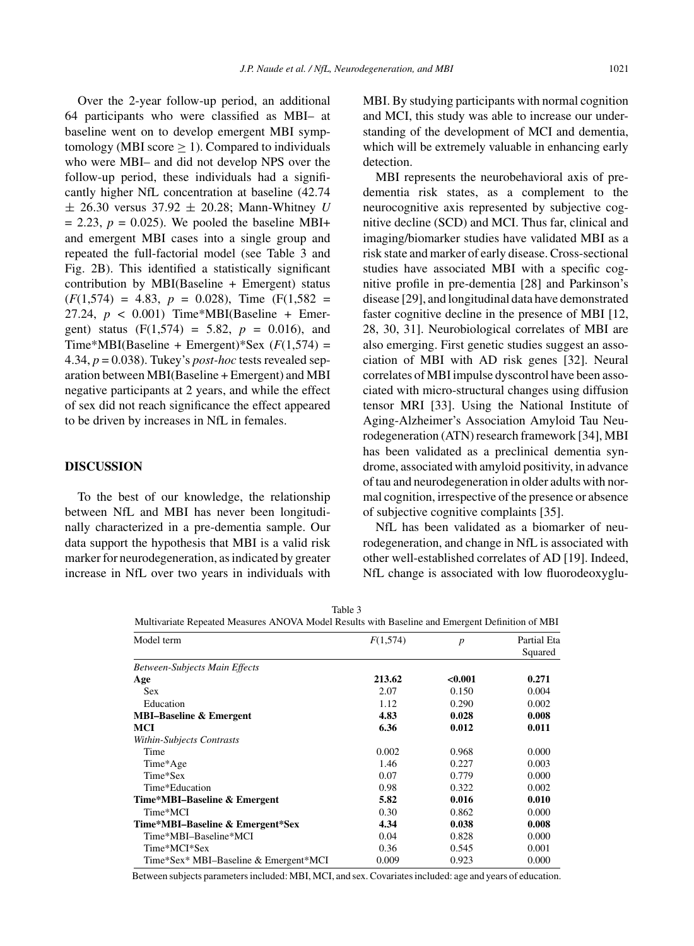cantly higher NfL concentration at baseline (42.74 ± 26.30 versus 37.92 ± 20.28; Mann-Whitney *U*  $= 2.23$ ,  $p = 0.025$ ). We pooled the baseline MBI+ and emergent MBI cases into a single group and repeated the full-factorial model (see Table 3 and Fig. 2B). This identified a statistically significant contribution by MBI(Baseline + Emergent) status  $(F(1,574) = 4.83, p = 0.028)$ , Time  $(F(1,582 =$ 27.24,  $p < 0.001$ ) Time\*MBI(Baseline + Emergent) status  $(F(1,574) = 5.82, p = 0.016)$ , and Time\*MBI(Baseline + Emergent)\*Sex  $(F(1,574)$  = 4.34, *p* = 0.038). Tukey's *post-hoc* tests revealed separation between MBI(Baseline + Emergent) and MBI negative participants at 2 years, and while the effect of sex did not reach significance the effect appeared to be driven by increases in NfL in females.

# **DISCUSSION**

To the best of our knowledge, the relationship between NfL and MBI has never been longitudinally characterized in a pre-dementia sample. Our data support the hypothesis that MBI is a valid risk marker for neurodegeneration, as indicated by greater increase in NfL over two years in individuals with

Over the 2-year follow-up period, an additional 64 participants who were classified as MBI– at baseline went on to develop emergent MBI symptomology (MBI score  $\geq$  1). Compared to individuals who were MBI– and did not develop NPS over the follow-up period, these individuals had a signifiMBI. By studying participants with normal cognition and MCI, this study was able to increase our understanding of the development of MCI and dementia, which will be extremely valuable in enhancing early detection.

MBI represents the neurobehavioral axis of predementia risk states, as a complement to the neurocognitive axis represented by subjective cognitive decline (SCD) and MCI. Thus far, clinical and imaging/biomarker studies have validated MBI as a risk state and marker of early disease. Cross-sectional studies have associated MBI with a specific cognitive profile in pre-dementia [28] and Parkinson's disease [29], and longitudinal data have demonstrated faster cognitive decline in the presence of MBI [12, 28, 30, 31]. Neurobiological correlates of MBI are also emerging. First genetic studies suggest an association of MBI with AD risk genes [32]. Neural correlates of MBI impulse dyscontrol have been associated with micro-structural changes using diffusion tensor MRI [33]. Using the National Institute of Aging-Alzheimer's Association Amyloid Tau Neurodegeneration (ATN) research framework [34], MBI has been validated as a preclinical dementia syndrome, associated with amyloid positivity, in advance of tau and neurodegeneration in older adults with normal cognition, irrespective of the presence or absence of subjective cognitive complaints [35].

NfL has been validated as a biomarker of neurodegeneration, and change in NfL is associated with other well-established correlates of AD [19]. Indeed, NfL change is associated with low fluorodeoxyglu-

| Table 3                                                                                         |  |
|-------------------------------------------------------------------------------------------------|--|
| Multivariate Repeated Measures ANOVA Model Results with Baseline and Emergent Definition of MBI |  |

| Model term                            | F(1,574) |         | Partial Eta |  |
|---------------------------------------|----------|---------|-------------|--|
|                                       |          |         | Squared     |  |
| <b>Between-Subjects Main Effects</b>  |          |         |             |  |
| Age                                   | 213.62   | < 0.001 | 0.271       |  |
| <b>Sex</b>                            | 2.07     | 0.150   | 0.004       |  |
| Education                             | 1.12     | 0.290   | 0.002       |  |
| <b>MBI-Baseline &amp; Emergent</b>    | 4.83     | 0.028   | 0.008       |  |
| MCI                                   | 6.36     | 0.012   | 0.011       |  |
| Within-Subjects Contrasts             |          |         |             |  |
| Time                                  | 0.002    | 0.968   | 0.000       |  |
| Time*Age                              | 1.46     | 0.227   | 0.003       |  |
| Time*Sex                              | 0.07     | 0.779   | 0.000       |  |
| Time*Education                        | 0.98     | 0.322   | 0.002       |  |
| Time*MBI-Baseline & Emergent          | 5.82     | 0.016   | 0.010       |  |
| Time*MCI                              | 0.30     | 0.862   | 0.000       |  |
| Time*MBI-Baseline & Emergent*Sex      | 4.34     | 0.038   | 0.008       |  |
| Time*MBI-Baseline*MCI                 | 0.04     | 0.828   | 0.000       |  |
| Time*MCI*Sex                          | 0.36     | 0.545   | 0.001       |  |
| Time*Sex* MBI-Baseline & Emergent*MCI | 0.009    | 0.923   | 0.000       |  |

Between subjects parameters included: MBI, MCI, and sex. Covariates included: age and years of education.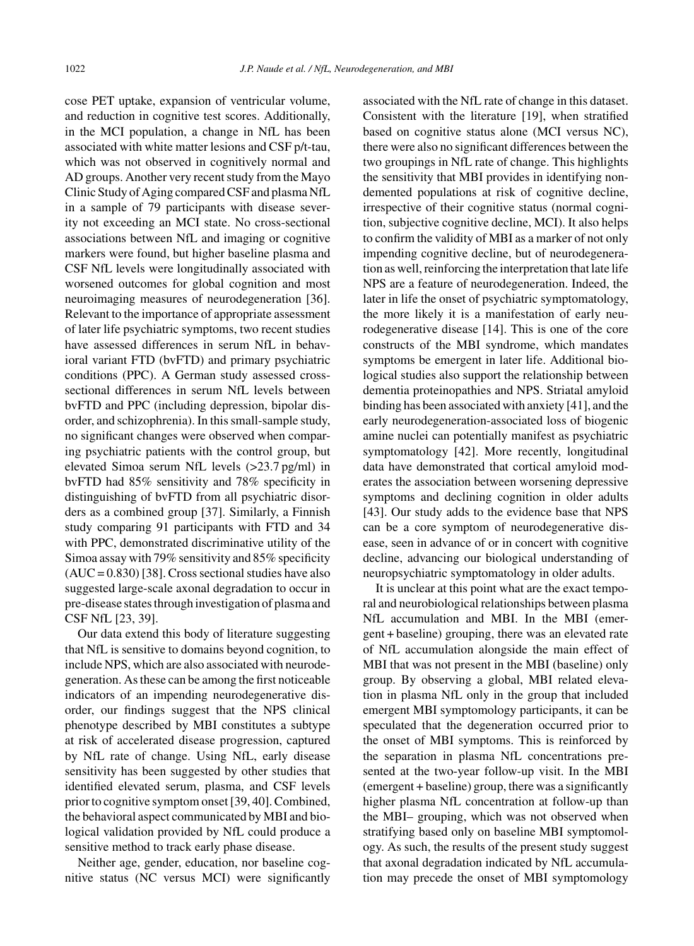cose PET uptake, expansion of ventricular volume, and reduction in cognitive test scores. Additionally, in the MCI population, a change in NfL has been associated with white matter lesions and CSF p/t-tau, which was not observed in cognitively normal and AD groups. Another very recent study from the Mayo Clinic Study of Aging compared CSF and plasma NfL in a sample of 79 participants with disease severity not exceeding an MCI state. No cross-sectional associations between NfL and imaging or cognitive markers were found, but higher baseline plasma and CSF NfL levels were longitudinally associated with worsened outcomes for global cognition and most neuroimaging measures of neurodegeneration [36]. Relevant to the importance of appropriate assessment of later life psychiatric symptoms, two recent studies have assessed differences in serum NfL in behavioral variant FTD (bvFTD) and primary psychiatric conditions (PPC). A German study assessed crosssectional differences in serum NfL levels between bvFTD and PPC (including depression, bipolar disorder, and schizophrenia). In this small-sample study, no significant changes were observed when comparing psychiatric patients with the control group, but elevated Simoa serum NfL levels (>23.7 pg/ml) in bvFTD had 85% sensitivity and 78% specificity in distinguishing of bvFTD from all psychiatric disorders as a combined group [37]. Similarly, a Finnish study comparing 91 participants with FTD and 34 with PPC, demonstrated discriminative utility of the Simoa assay with 79% sensitivity and 85% specificity  $(AUC = 0.830)$  [38]. Cross sectional studies have also suggested large-scale axonal degradation to occur in pre-disease states through investigation of plasma and CSF NfL [23, 39].

Our data extend this body of literature suggesting that NfL is sensitive to domains beyond cognition, to include NPS, which are also associated with neurodegeneration. As these can be among the first noticeable indicators of an impending neurodegenerative disorder, our findings suggest that the NPS clinical phenotype described by MBI constitutes a subtype at risk of accelerated disease progression, captured by NfL rate of change. Using NfL, early disease sensitivity has been suggested by other studies that identified elevated serum, plasma, and CSF levels prior to cognitive symptom onset [39, 40]. Combined, the behavioral aspect communicated by MBI and biological validation provided by NfL could produce a sensitive method to track early phase disease.

Neither age, gender, education, nor baseline cognitive status (NC versus MCI) were significantly associated with the NfL rate of change in this dataset. Consistent with the literature [19], when stratified based on cognitive status alone (MCI versus NC), there were also no significant differences between the two groupings in NfL rate of change. This highlights the sensitivity that MBI provides in identifying nondemented populations at risk of cognitive decline, irrespective of their cognitive status (normal cognition, subjective cognitive decline, MCI). It also helps to confirm the validity of MBI as a marker of not only impending cognitive decline, but of neurodegeneration as well, reinforcing the interpretation that late life NPS are a feature of neurodegeneration. Indeed, the later in life the onset of psychiatric symptomatology, the more likely it is a manifestation of early neurodegenerative disease [14]. This is one of the core constructs of the MBI syndrome, which mandates symptoms be emergent in later life. Additional biological studies also support the relationship between dementia proteinopathies and NPS. Striatal amyloid binding has been associated with anxiety [41], and the early neurodegeneration-associated loss of biogenic amine nuclei can potentially manifest as psychiatric symptomatology [42]. More recently, longitudinal data have demonstrated that cortical amyloid moderates the association between worsening depressive symptoms and declining cognition in older adults [43]. Our study adds to the evidence base that NPS can be a core symptom of neurodegenerative disease, seen in advance of or in concert with cognitive decline, advancing our biological understanding of neuropsychiatric symptomatology in older adults.

It is unclear at this point what are the exact temporal and neurobiological relationships between plasma NfL accumulation and MBI. In the MBI (emergent + baseline) grouping, there was an elevated rate of NfL accumulation alongside the main effect of MBI that was not present in the MBI (baseline) only group. By observing a global, MBI related elevation in plasma NfL only in the group that included emergent MBI symptomology participants, it can be speculated that the degeneration occurred prior to the onset of MBI symptoms. This is reinforced by the separation in plasma NfL concentrations presented at the two-year follow-up visit. In the MBI (emergent + baseline) group, there was a significantly higher plasma NfL concentration at follow-up than the MBI– grouping, which was not observed when stratifying based only on baseline MBI symptomology. As such, the results of the present study suggest that axonal degradation indicated by NfL accumulation may precede the onset of MBI symptomology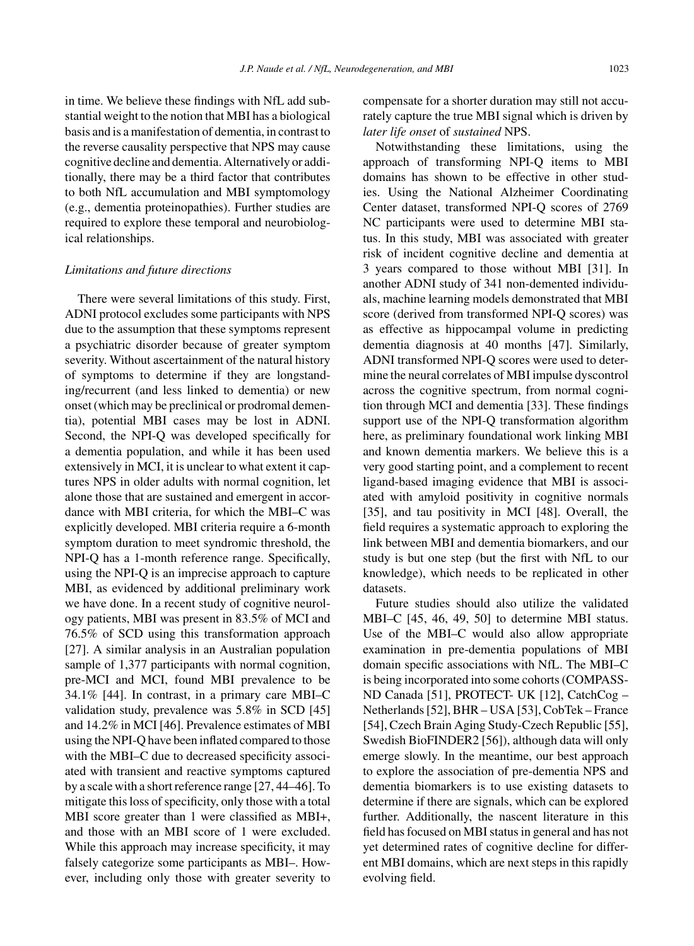in time. We believe these findings with NfL add substantial weight to the notion that MBI has a biological basis and is a manifestation of dementia, in contrast to the reverse causality perspective that NPS may cause cognitive decline and dementia. Alternatively or additionally, there may be a third factor that contributes to both NfL accumulation and MBI symptomology (e.g., dementia proteinopathies). Further studies are required to explore these temporal and neurobiological relationships.

### *Limitations and future directions*

There were several limitations of this study. First, ADNI protocol excludes some participants with NPS due to the assumption that these symptoms represent a psychiatric disorder because of greater symptom severity. Without ascertainment of the natural history of symptoms to determine if they are longstanding/recurrent (and less linked to dementia) or new onset (which may be preclinical or prodromal dementia), potential MBI cases may be lost in ADNI. Second, the NPI-Q was developed specifically for a dementia population, and while it has been used extensively in MCI, it is unclear to what extent it captures NPS in older adults with normal cognition, let alone those that are sustained and emergent in accordance with MBI criteria, for which the MBI–C was explicitly developed. MBI criteria require a 6-month symptom duration to meet syndromic threshold, the NPI-Q has a 1-month reference range. Specifically, using the NPI-Q is an imprecise approach to capture MBI, as evidenced by additional preliminary work we have done. In a recent study of cognitive neurology patients, MBI was present in 83.5% of MCI and 76.5% of SCD using this transformation approach [27]. A similar analysis in an Australian population sample of 1,377 participants with normal cognition, pre-MCI and MCI, found MBI prevalence to be 34.1% [44]. In contrast, in a primary care MBI–C validation study, prevalence was 5.8% in SCD [45] and 14.2% in MCI [46]. Prevalence estimates of MBI using the NPI-Q have been inflated compared to those with the MBI–C due to decreased specificity associated with transient and reactive symptoms captured by a scale with a short reference range [27, 44–46]. To mitigate this loss of specificity, only those with a total MBI score greater than 1 were classified as MBI+, and those with an MBI score of 1 were excluded. While this approach may increase specificity, it may falsely categorize some participants as MBI–. However, including only those with greater severity to

compensate for a shorter duration may still not accurately capture the true MBI signal which is driven by *later life onset* of *sustained* NPS.

Notwithstanding these limitations, using the approach of transforming NPI-Q items to MBI domains has shown to be effective in other studies. Using the National Alzheimer Coordinating Center dataset, transformed NPI-Q scores of 2769 NC participants were used to determine MBI status. In this study, MBI was associated with greater risk of incident cognitive decline and dementia at 3 years compared to those without MBI [31]. In another ADNI study of 341 non-demented individuals, machine learning models demonstrated that MBI score (derived from transformed NPI-Q scores) was as effective as hippocampal volume in predicting dementia diagnosis at 40 months [47]. Similarly, ADNI transformed NPI-Q scores were used to determine the neural correlates of MBI impulse dyscontrol across the cognitive spectrum, from normal cognition through MCI and dementia [33]. These findings support use of the NPI-Q transformation algorithm here, as preliminary foundational work linking MBI and known dementia markers. We believe this is a very good starting point, and a complement to recent ligand-based imaging evidence that MBI is associated with amyloid positivity in cognitive normals [35], and tau positivity in MCI [48]. Overall, the field requires a systematic approach to exploring the link between MBI and dementia biomarkers, and our study is but one step (but the first with NfL to our knowledge), which needs to be replicated in other datasets.

Future studies should also utilize the validated MBI–C [45, 46, 49, 50] to determine MBI status. Use of the MBI–C would also allow appropriate examination in pre-dementia populations of MBI domain specific associations with NfL. The MBI–C is being incorporated into some cohorts (COMPASS-ND Canada [51], PROTECT- UK [12], CatchCog – Netherlands [52], BHR – USA [53], CobTek – France [54], Czech Brain Aging Study-Czech Republic [55], Swedish BioFINDER2 [56]), although data will only emerge slowly. In the meantime, our best approach to explore the association of pre-dementia NPS and dementia biomarkers is to use existing datasets to determine if there are signals, which can be explored further. Additionally, the nascent literature in this field has focused on MBI status in general and has not yet determined rates of cognitive decline for different MBI domains, which are next steps in this rapidly evolving field.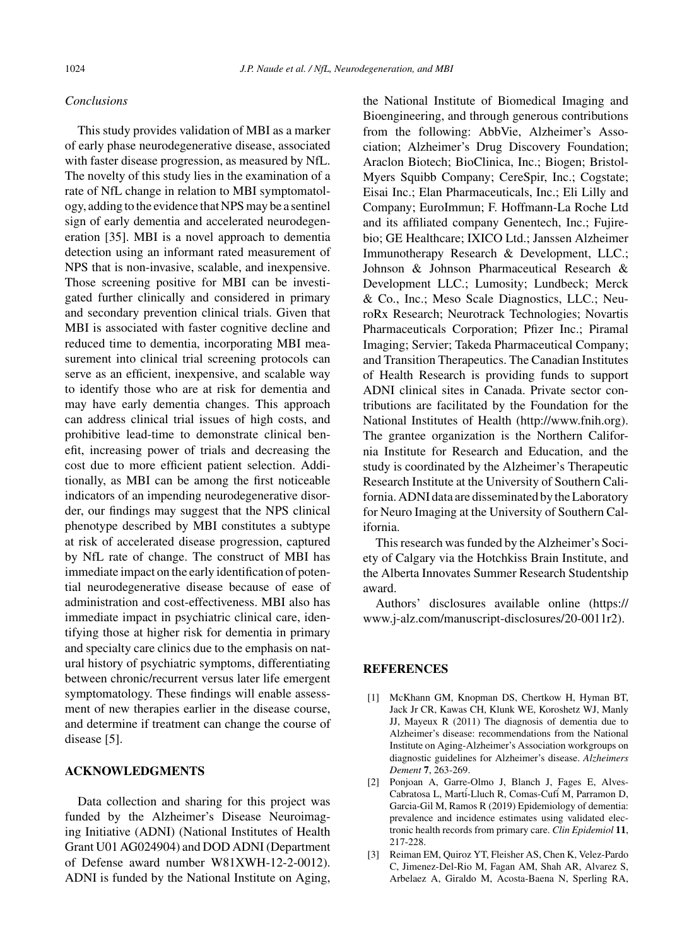## *Conclusions*

This study provides validation of MBI as a marker of early phase neurodegenerative disease, associated with faster disease progression, as measured by NfL. The novelty of this study lies in the examination of a rate of NfL change in relation to MBI symptomatology, adding to the evidence that NPS may be a sentinel sign of early dementia and accelerated neurodegeneration [35]. MBI is a novel approach to dementia detection using an informant rated measurement of NPS that is non-invasive, scalable, and inexpensive. Those screening positive for MBI can be investigated further clinically and considered in primary and secondary prevention clinical trials. Given that MBI is associated with faster cognitive decline and reduced time to dementia, incorporating MBI measurement into clinical trial screening protocols can serve as an efficient, inexpensive, and scalable way to identify those who are at risk for dementia and may have early dementia changes. This approach can address clinical trial issues of high costs, and prohibitive lead-time to demonstrate clinical benefit, increasing power of trials and decreasing the cost due to more efficient patient selection. Additionally, as MBI can be among the first noticeable indicators of an impending neurodegenerative disorder, our findings may suggest that the NPS clinical phenotype described by MBI constitutes a subtype at risk of accelerated disease progression, captured by NfL rate of change. The construct of MBI has immediate impact on the early identification of potential neurodegenerative disease because of ease of administration and cost-effectiveness. MBI also has immediate impact in psychiatric clinical care, identifying those at higher risk for dementia in primary and specialty care clinics due to the emphasis on natural history of psychiatric symptoms, differentiating between chronic/recurrent versus later life emergent symptomatology. These findings will enable assessment of new therapies earlier in the disease course, and determine if treatment can change the course of disease [5].

# **ACKNOWLEDGMENTS**

Data collection and sharing for this project was funded by the Alzheimer's Disease Neuroimaging Initiative (ADNI) (National Institutes of Health Grant U01 AG024904) and DOD ADNI (Department of Defense award number W81XWH-12-2-0012). ADNI is funded by the National Institute on Aging,

the National Institute of Biomedical Imaging and Bioengineering, and through generous contributions from the following: AbbVie, Alzheimer's Association; Alzheimer's Drug Discovery Foundation; Araclon Biotech; BioClinica, Inc.; Biogen; Bristol-Myers Squibb Company; CereSpir, Inc.; Cogstate; Eisai Inc.; Elan Pharmaceuticals, Inc.; Eli Lilly and Company; EuroImmun; F. Hoffmann-La Roche Ltd and its affiliated company Genentech, Inc.; Fujirebio; GE Healthcare; IXICO Ltd.; Janssen Alzheimer Immunotherapy Research & Development, LLC.; Johnson & Johnson Pharmaceutical Research & Development LLC.; Lumosity; Lundbeck; Merck & Co., Inc.; Meso Scale Diagnostics, LLC.; NeuroRx Research; Neurotrack Technologies; Novartis Pharmaceuticals Corporation; Pfizer Inc.; Piramal Imaging; Servier; Takeda Pharmaceutical Company; and Transition Therapeutics. The Canadian Institutes of Health Research is providing funds to support ADNI clinical sites in Canada. Private sector contributions are facilitated by the Foundation for the National Institutes of Health [\(http://www.fnih.org](http://www.fnih.org)). The grantee organization is the Northern California Institute for Research and Education, and the study is coordinated by the Alzheimer's Therapeutic Research Institute at the University of Southern California. ADNI data are disseminated by the Laboratory for Neuro Imaging at the University of Southern California.

This research was funded by the Alzheimer's Society of Calgary via the Hotchkiss Brain Institute, and the Alberta Innovates Summer Research Studentship award.

Authors' disclosures available online [\(https://](https://www.j-alz.com/manuscript-disclosures/20-0011r2) [www.j-alz.com/manuscript-disclosures/20-0011r2\)](https://www.j-alz.com/manuscript-disclosures/20-0011r2).

## **REFERENCES**

- [1] McKhann GM, Knopman DS, Chertkow H, Hyman BT, Jack Jr CR, Kawas CH, Klunk WE, Koroshetz WJ, Manly JJ, Mayeux R (2011) The diagnosis of dementia due to Alzheimer's disease: recommendations from the National Institute on Aging-Alzheimer's Association workgroups on diagnostic guidelines for Alzheimer's disease. *Alzheimers Dement* **7**, 263-269.
- [2] Ponjoan A, Garre-Olmo J, Blanch J, Fages E, Alves-Cabratosa L, Mart´i-Lluch R, Comas-Cuf´i M, Parramon D, Garcia-Gil M, Ramos R (2019) Epidemiology of dementia: prevalence and incidence estimates using validated electronic health records from primary care. *Clin Epidemiol* **11**, 217-228.
- [3] Reiman EM, Quiroz YT, Fleisher AS, Chen K, Velez-Pardo C, Jimenez-Del-Rio M, Fagan AM, Shah AR, Alvarez S, Arbelaez A, Giraldo M, Acosta-Baena N, Sperling RA,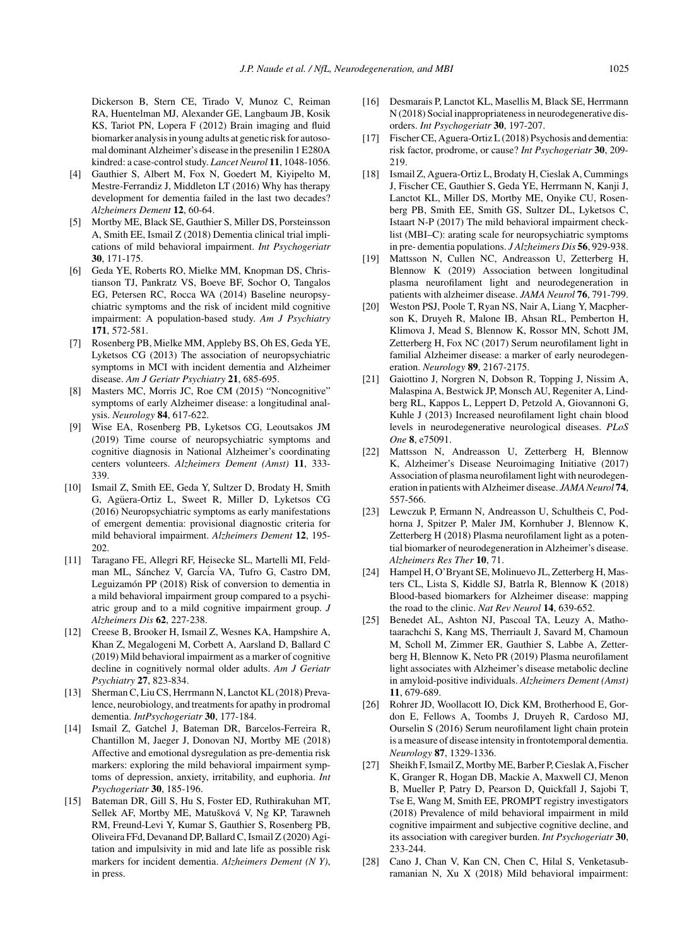Dickerson B, Stern CE, Tirado V, Munoz C, Reiman RA, Huentelman MJ, Alexander GE, Langbaum JB, Kosik KS, Tariot PN, Lopera F (2012) Brain imaging and fluid biomarker analysis in young adults at genetic risk for autosomal dominant Alzheimer's disease in the presenilin 1 E280A kindred: a case-control study. *Lancet Neurol* **11**, 1048-1056.

- [4] Gauthier S, Albert M, Fox N, Goedert M, Kiyipelto M, Mestre-Ferrandiz J, Middleton LT (2016) Why has therapy development for dementia failed in the last two decades? *Alzheimers Dement* **12**, 60-64.
- [5] Mortby ME, Black SE, Gauthier S, Miller DS, Porsteinsson A, Smith EE, Ismail Z (2018) Dementia clinical trial implications of mild behavioral impairment. *Int Psychogeriatr* **30**, 171-175.
- [6] Geda YE, Roberts RO, Mielke MM, Knopman DS, Christianson TJ, Pankratz VS, Boeve BF, Sochor O, Tangalos EG, Petersen RC, Rocca WA (2014) Baseline neuropsychiatric symptoms and the risk of incident mild cognitive impairment: A population-based study. *Am J Psychiatry* **171**, 572-581.
- [7] Rosenberg PB, Mielke MM, Appleby BS, Oh ES, Geda YE, Lyketsos CG (2013) The association of neuropsychiatric symptoms in MCI with incident dementia and Alzheimer disease. *Am J Geriatr Psychiatry* **21**, 685-695.
- [8] Masters MC, Morris JC, Roe CM (2015) "Noncognitive" symptoms of early Alzheimer disease: a longitudinal analysis. *Neurology* **84**, 617-622.
- [9] Wise EA, Rosenberg PB, Lyketsos CG, Leoutsakos JM (2019) Time course of neuropsychiatric symptoms and cognitive diagnosis in National Alzheimer's coordinating centers volunteers. *Alzheimers Dement (Amst)* **11**, 333- 339.
- [10] Ismail Z, Smith EE, Geda Y, Sultzer D, Brodaty H, Smith G, Agüera-Ortiz L, Sweet R, Miller D, Lyketsos CG (2016) Neuropsychiatric symptoms as early manifestations of emergent dementia: provisional diagnostic criteria for mild behavioral impairment. *Alzheimers Dement* **12**, 195- 202.
- [11] Taragano FE, Allegri RF, Heisecke SL, Martelli MI, Feldman ML, Sánchez V, García VA, Tufro G, Castro DM, Leguizamón PP (2018) Risk of conversion to dementia in a mild behavioral impairment group compared to a psychiatric group and to a mild cognitive impairment group. *J Alzheimers Dis* **62**, 227-238.
- [12] Creese B, Brooker H, Ismail Z, Wesnes KA, Hampshire A, Khan Z, Megalogeni M, Corbett A, Aarsland D, Ballard C (2019) Mild behavioral impairment as a marker of cognitive decline in cognitively normal older adults. *Am J Geriatr Psychiatry* **27**, 823-834.
- [13] Sherman C, Liu CS, Herrmann N, Lanctot KL (2018) Prevalence, neurobiology, and treatments for apathy in prodromal dementia. *IntPsychogeriatr* **30**, 177-184.
- [14] Ismail Z, Gatchel J, Bateman DR, Barcelos-Ferreira R, Chantillon M, Jaeger J, Donovan NJ, Mortby ME (2018) Affective and emotional dysregulation as pre-dementia risk markers: exploring the mild behavioral impairment symptoms of depression, anxiety, irritability, and euphoria. *Int Psychogeriatr* **30**, 185-196.
- [15] Bateman DR, Gill S, Hu S, Foster ED, Ruthirakuhan MT, Sellek AF, Mortby ME, Matušková V, Ng KP, Tarawneh RM, Freund-Levi Y, Kumar S, Gauthier S, Rosenberg PB, Oliveira FFd, Devanand DP, Ballard C, Ismail Z (2020) Agitation and impulsivity in mid and late life as possible risk markers for incident dementia. *Alzheimers Dement (N Y)*, in press.
- [16] Desmarais P, Lanctot KL, Masellis M, Black SE, Herrmann N (2018) Social inappropriateness in neurodegenerative disorders. *Int Psychogeriatr* **30**, 197-207.
- [17] Fischer CE, Aguera-Ortiz L (2018) Psychosis and dementia: risk factor, prodrome, or cause? *Int Psychogeriatr* **30**, 209- 219.
- [18] Ismail Z, Aguera-Ortiz L, Brodaty H, Cieslak A, Cummings J, Fischer CE, Gauthier S, Geda YE, Herrmann N, Kanji J, Lanctot KL, Miller DS, Mortby ME, Onyike CU, Rosenberg PB, Smith EE, Smith GS, Sultzer DL, Lyketsos C, Istaart N-P (2017) The mild behavioral impairment checklist (MBI–C): arating scale for neuropsychiatric symptoms in pre- dementia populations. *J Alzheimers Dis* **56**, 929-938.
- [19] Mattsson N, Cullen NC, Andreasson U, Zetterberg H, Blennow K (2019) Association between longitudinal plasma neurofilament light and neurodegeneration in patients with alzheimer disease. *JAMA Neurol* **76**, 791-799.
- [20] Weston PSJ, Poole T, Ryan NS, Nair A, Liang Y, Macpherson K, Druyeh R, Malone IB, Ahsan RL, Pemberton H, Klimova J, Mead S, Blennow K, Rossor MN, Schott JM, Zetterberg H, Fox NC (2017) Serum neurofilament light in familial Alzheimer disease: a marker of early neurodegeneration. *Neurology* **89**, 2167-2175.
- [21] Gaiottino J, Norgren N, Dobson R, Topping J, Nissim A, Malaspina A, Bestwick JP, Monsch AU, Regeniter A, Lindberg RL, Kappos L, Leppert D, Petzold A, Giovannoni G, Kuhle J (2013) Increased neurofilament light chain blood levels in neurodegenerative neurological diseases. *PLoS One* **8**, e75091.
- [22] Mattsson N, Andreasson U, Zetterberg H, Blennow K, Alzheimer's Disease Neuroimaging Initiative (2017) Association of plasma neurofilament light with neurodegeneration in patients with Alzheimer disease. *JAMA Neurol* **74**, 557-566.
- [23] Lewczuk P, Ermann N, Andreasson U, Schultheis C, Podhorna J, Spitzer P, Maler JM, Kornhuber J, Blennow K, Zetterberg H (2018) Plasma neurofilament light as a potential biomarker of neurodegeneration in Alzheimer's disease. *Alzheimers Res Ther* **10**, 71.
- [24] Hampel H, O'Bryant SE, Molinuevo JL, Zetterberg H, Masters CL, Lista S, Kiddle SJ, Batrla R, Blennow K (2018) Blood-based biomarkers for Alzheimer disease: mapping the road to the clinic. *Nat Rev Neurol* **14**, 639-652.
- [25] Benedet AL, Ashton NJ, Pascoal TA, Leuzy A, Mathotaarachchi S, Kang MS, Therriault J, Savard M, Chamoun M, Scholl M, Zimmer ER, Gauthier S, Labbe A, Zetterberg H, Blennow K, Neto PR (2019) Plasma neurofilament light associates with Alzheimer's disease metabolic decline in amyloid-positive individuals. *Alzheimers Dement (Amst)* **11**, 679-689.
- [26] Rohrer JD, Woollacott IO, Dick KM, Brotherhood E, Gordon E, Fellows A, Toombs J, Druyeh R, Cardoso MJ, Ourselin S (2016) Serum neurofilament light chain protein is a measure of disease intensity in frontotemporal dementia. *Neurology* **87**, 1329-1336.
- [27] Sheikh F, Ismail Z, Mortby ME, Barber P, Cieslak A, Fischer K, Granger R, Hogan DB, Mackie A, Maxwell CJ, Menon B, Mueller P, Patry D, Pearson D, Quickfall J, Sajobi T, Tse E, Wang M, Smith EE, PROMPT registry investigators (2018) Prevalence of mild behavioral impairment in mild cognitive impairment and subjective cognitive decline, and its association with caregiver burden. *Int Psychogeriatr* **30**, 233-244.
- [28] Cano J, Chan V, Kan CN, Chen C, Hilal S, Venketasubramanian N, Xu X (2018) Mild behavioral impairment: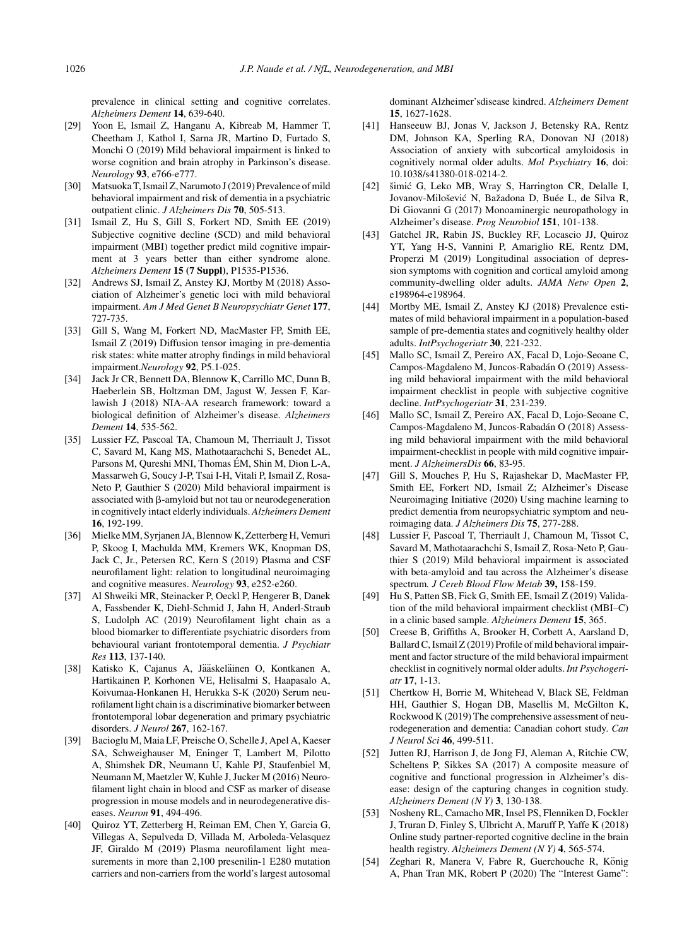prevalence in clinical setting and cognitive correlates. *Alzheimers Dement* **14**, 639-640.

- [29] Yoon E, Ismail Z, Hanganu A, Kibreab M, Hammer T, Cheetham J, Kathol I, Sarna JR, Martino D, Furtado S, Monchi O (2019) Mild behavioral impairment is linked to worse cognition and brain atrophy in Parkinson's disease. *Neurology* **93**, e766-e777.
- [30] Matsuoka T, Ismail Z, Narumoto J (2019) Prevalence of mild behavioral impairment and risk of dementia in a psychiatric outpatient clinic. *J Alzheimers Dis* **70**, 505-513.
- [31] Ismail Z, Hu S, Gill S, Forkert ND, Smith EE (2019) Subjective cognitive decline (SCD) and mild behavioral impairment (MBI) together predict mild cognitive impairment at 3 years better than either syndrome alone. *Alzheimers Dement* **15 (7 Suppl)**, P1535-P1536.
- [32] Andrews SJ, Ismail Z, Anstey KJ, Mortby M (2018) Association of Alzheimer's genetic loci with mild behavioral impairment. *Am J Med Genet B Neuropsychiatr Genet* **177**, 727-735.
- [33] Gill S, Wang M, Forkert ND, MacMaster FP, Smith EE, Ismail Z (2019) Diffusion tensor imaging in pre-dementia risk states: white matter atrophy findings in mild behavioral impairment.*Neurology* **92**, P5.1-025.
- [34] Jack Jr CR, Bennett DA, Blennow K, Carrillo MC, Dunn B, Haeberlein SB, Holtzman DM, Jagust W, Jessen F, Karlawish J (2018) NIA-AA research framework: toward a biological definition of Alzheimer's disease. *Alzheimers Dement* **14**, 535-562.
- [35] Lussier FZ, Pascoal TA, Chamoun M, Therriault J, Tissot C, Savard M, Kang MS, Mathotaarachchi S, Benedet AL, Parsons M, Qureshi MNI, Thomas ÉM, Shin M, Dion L-A, Massarweh G, Soucy J-P, Tsai I-H, Vitali P, Ismail Z, Rosa-Neto P, Gauthier S (2020) Mild behavioral impairment is associated with  $\beta$ -amyloid but not tau or neurodegeneration in cognitively intact elderly individuals. *Alzheimers Dement* **16**, 192-199.
- [36] Mielke MM, Syrjanen JA, Blennow K, Zetterberg H, Vemuri P, Skoog I, Machulda MM, Kremers WK, Knopman DS, Jack C, Jr., Petersen RC, Kern S (2019) Plasma and CSF neurofilament light: relation to longitudinal neuroimaging and cognitive measures. *Neurology* **93**, e252-e260.
- [37] Al Shweiki MR, Steinacker P, Oeckl P, Hengerer B, Danek A, Fassbender K, Diehl-Schmid J, Jahn H, Anderl-Straub S, Ludolph AC (2019) Neurofilament light chain as a blood biomarker to differentiate psychiatric disorders from behavioural variant frontotemporal dementia. *J Psychiatr Res* **113**, 137-140.
- [38] Katisko K, Cajanus A, Jääskeläinen O, Kontkanen A, Hartikainen P, Korhonen VE, Helisalmi S, Haapasalo A, Koivumaa-Honkanen H, Herukka S-K (2020) Serum neurofilament light chain is a discriminative biomarker between frontotemporal lobar degeneration and primary psychiatric disorders. *J Neurol* **267**, 162-167.
- [39] Bacioglu M, Maia LF, Preische O, Schelle J, Apel A, Kaeser SA, Schweighauser M, Eninger T, Lambert M, Pilotto A, Shimshek DR, Neumann U, Kahle PJ, Staufenbiel M, Neumann M, Maetzler W, Kuhle J, Jucker M (2016) Neurofilament light chain in blood and CSF as marker of disease progression in mouse models and in neurodegenerative diseases. *Neuron* **91**, 494-496.
- [40] Quiroz YT, Zetterberg H, Reiman EM, Chen Y, Garcia G, Villegas A, Sepulveda D, Villada M, Arboleda-Velasquez JF, Giraldo M (2019) Plasma neurofilament light measurements in more than 2,100 presenilin-1 E280 mutation carriers and non-carriers from the world's largest autosomal

dominant Alzheimer'sdisease kindred. *Alzheimers Dement* **15**, 1627-1628.

- [41] Hanseeuw BJ, Jonas V, Jackson J, Betensky RA, Rentz DM, Johnson KA, Sperling RA, Donovan NJ (2018) Association of anxiety with subcortical amyloidosis in cognitively normal older adults. *Mol Psychiatry* **16**, doi: 10.1038/s41380-018-0214-2.
- [42] šimić G, Leko MB, Wray S, Harrington CR, Delalle I, Jovanov-Milošević N, Bažadona D, Buée L, de Silva R, Di Giovanni G (2017) Monoaminergic neuropathology in Alzheimer's disease. *Prog Neurobiol* **151**, 101-138.
- [43] Gatchel JR, Rabin JS, Buckley RF, Locascio JJ, Quiroz YT, Yang H-S, Vannini P, Amariglio RE, Rentz DM, Properzi M (2019) Longitudinal association of depression symptoms with cognition and cortical amyloid among community-dwelling older adults. *JAMA Netw Open* **2**, e198964-e198964.
- [44] Mortby ME, Ismail Z, Anstey KJ (2018) Prevalence estimates of mild behavioral impairment in a population-based sample of pre-dementia states and cognitively healthy older adults. *IntPsychogeriatr* **30**, 221-232.
- [45] Mallo SC, Ismail Z, Pereiro AX, Facal D, Lojo-Seoane C, Campos-Magdaleno M, Juncos-Rabadan O (2019) Assess- ´ ing mild behavioral impairment with the mild behavioral impairment checklist in people with subjective cognitive decline. *IntPsychogeriatr* **31**, 231-239.
- [46] Mallo SC, Ismail Z, Pereiro AX, Facal D, Lojo-Seoane C, Campos-Magdaleno M, Juncos-Rabadan O (2018) Assess- ´ ing mild behavioral impairment with the mild behavioral impairment-checklist in people with mild cognitive impairment. *J AlzheimersDis* **66**, 83-95.
- [47] Gill S, Mouches P, Hu S, Rajashekar D, MacMaster FP, Smith EE, Forkert ND, Ismail Z; Alzheimer's Disease Neuroimaging Initiative (2020) Using machine learning to predict dementia from neuropsychiatric symptom and neuroimaging data. *J Alzheimers Dis* **75**, 277-288.
- [48] Lussier F, Pascoal T, Therriault J, Chamoun M, Tissot C, Savard M, Mathotaarachchi S, Ismail Z, Rosa-Neto P, Gauthier S (2019) Mild behavioral impairment is associated with beta-amyloid and tau across the Alzheimer's disease spectrum*. J Cereb Blood Flow Metab* **39,** 158-159.
- [49] Hu S, Patten SB, Fick G, Smith EE, Ismail Z (2019) Validation of the mild behavioral impairment checklist (MBI–C) in a clinic based sample. *Alzheimers Dement* **15**, 365.
- [50] Creese B, Griffiths A, Brooker H, Corbett A, Aarsland D, Ballard C, Ismail Z (2019) Profile of mild behavioral impairment and factor structure of the mild behavioral impairment checklist in cognitively normal older adults. *Int Psychogeriatr* **17**, 1-13.
- [51] Chertkow H, Borrie M, Whitehead V, Black SE, Feldman HH, Gauthier S, Hogan DB, Masellis M, McGilton K, Rockwood K (2019) The comprehensive assessment of neurodegeneration and dementia: Canadian cohort study. *Can J Neurol Sci* **46**, 499-511.
- [52] Jutten RJ, Harrison J, de Jong FJ, Aleman A, Ritchie CW, Scheltens P, Sikkes SA (2017) A composite measure of cognitive and functional progression in Alzheimer's disease: design of the capturing changes in cognition study. *Alzheimers Dement (N Y)* **3**, 130-138.
- [53] Nosheny RL, Camacho MR, Insel PS, Flenniken D, Fockler J, Truran D, Finley S, Ulbricht A, Maruff P, Yaffe K (2018) Online study partner-reported cognitive decline in the brain health registry. *Alzheimers Dement (N Y)* **4**, 565-574.
- [54] Zeghari R, Manera V, Fabre R, Guerchouche R, König A, Phan Tran MK, Robert P (2020) The "Interest Game":